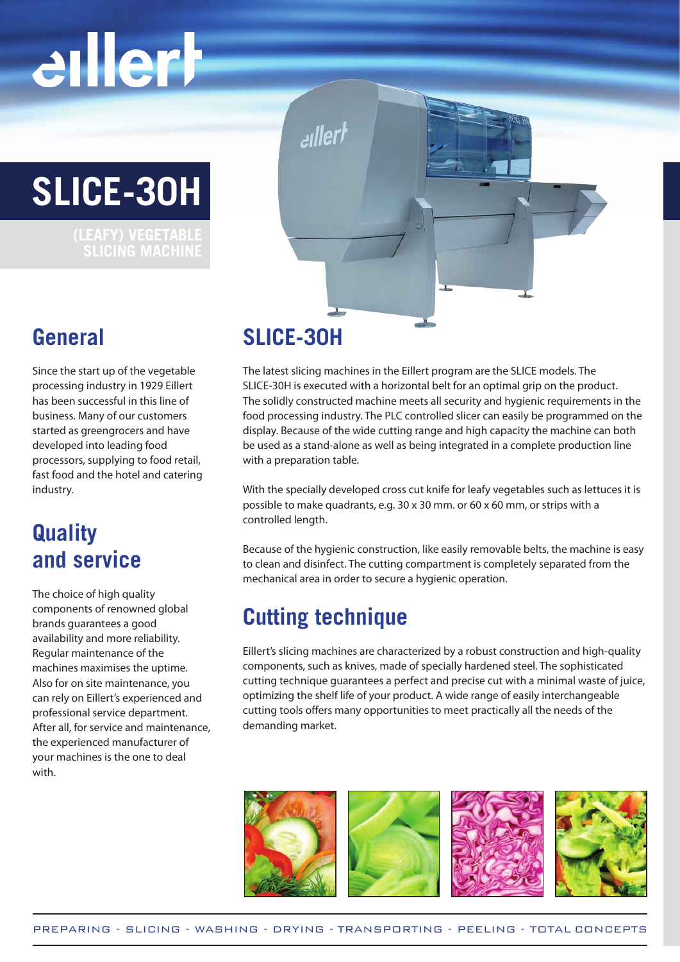# eillerh

**SLICE-30H** 

 **SLICING MACHINE**

### **General**

Since the start up of the vegetable processing industry in 1929 Eillert has been successful in this line of business. Many of our customers started as greengrocers and have developed into leading food processors, supplying to food retail, fast food and the hotel and catering industry.

### **Quality and service**

The choice of high quality components of renowned global brands guarantees a good availability and more reliability. Regular maintenance of the machines maximises the uptime. Also for on site maintenance, you can rely on Eillert's experienced and professional service department. After all, for service and maintenance, the experienced manufacturer of your machines is the one to deal with.

### **SLICE-30H**

llertسم

The latest slicing machines in the Eillert program are the SLICE models. The SLICE-30H is executed with a horizontal belt for an optimal grip on the product. The solidly constructed machine meets all security and hygienic requirements in the food processing industry. The PLC controlled slicer can easily be programmed on the display. Because of the wide cutting range and high capacity the machine can both be used as a stand-alone as well as being integrated in a complete production line with a preparation table.

With the specially developed cross cut knife for leafy vegetables such as lettuces it is possible to make quadrants, e.g. 30 x 30 mm. or 60 x 60 mm, or strips with a controlled length.

Because of the hygienic construction, like easily removable belts, the machine is easy to clean and disinfect. The cutting compartment is completely separated from the mechanical area in order to secure a hygienic operation.

### **Cutting technique**

Eillert's slicing machines are characterized by a robust construction and high-quality components, such as knives, made of specially hardened steel. The sophisticated cutting technique guarantees a perfect and precise cut with a minimal waste of juice, optimizing the shelf life of your product. A wide range of easily interchangeable cutting tools offers many opportunities to meet practically all the needs of the demanding market.